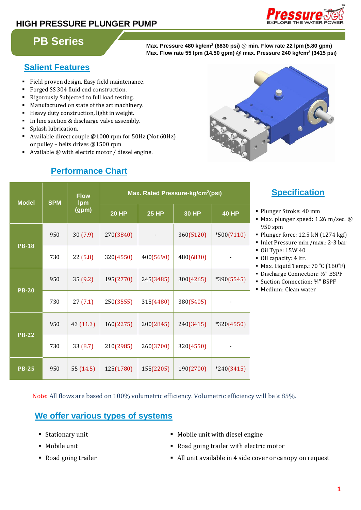# **HIGH PRESSURE PLUNGER PUMP**



# **PB Series**

**(6830 psi) @ min. Flow rate 22 lpm (5.80 gpm) Max. Flow rate 55 lpm (14.50 gpm) @ max. Pressure 240 kg/cm<sup>2</sup> (3415 psi)**

## **Salient Features**

- Field proven design. Easy field maintenance.
- Forged SS 304 fluid end construction.
- Rigorously Subjected to full load testing.
- Manufactured on state of the art machinery.
- Heavy duty construction, light in weight.
- In line suction & discharge valve assembly.
- Splash lubrication.
- Available direct couple @1000 rpm for 50Hz (Not 60Hz) or pulley – belts drives @1500 rpm
- Available @ with electric motor / diesel engine.

# **Performance Chart**



| <b>Model</b> | <b>SPM</b> | <b>Flow</b><br><b>Ipm</b><br>(gpm) | Max. Rated Pressure-kg/cm <sup>2</sup> (psi) |              |              |              |
|--------------|------------|------------------------------------|----------------------------------------------|--------------|--------------|--------------|
|              |            |                                    | <b>20 HP</b>                                 | <b>25 HP</b> | <b>30 HP</b> | <b>40 HP</b> |
| <b>PB-18</b> | 950        | 30(7.9)                            | 270(3840)                                    |              | 360(5120)    | $*500(7110)$ |
|              | 730        | 22(5.8)                            | 320(4550)                                    | 400(5690)    | 480(6830)    |              |
| <b>PB-20</b> | 950        | 35(9.2)                            | 195(2770)                                    | 245(3485)    | 300(4265)    | $*390(5545)$ |
|              | 730        | 27(7.1)                            | 250(3555)                                    | 315(4480)    | 380(5405)    |              |
| <b>PB-22</b> | 950        | 43 (11.3)                          | 160(2275)                                    | 200(2845)    | 240(3415)    | $*320(4550)$ |
|              | 730        | 33(8.7)                            | 210(2985)                                    | 260(3700)    | 320(4550)    |              |
| <b>PB-25</b> | 950        | 55 (14.5)                          | 125(1780)                                    | 155(2205)    | 190(2700)    | $*240(3415)$ |

# **Specification:**

- Plunger Stroke: 40 mm
- Max. plunger speed: 1.26 m/sec. @ 950 spm
- Plunger force: 12.5 kN (1274 kgf)
- Inlet Pressure min./max.: 2-3 bar
- Oil Type: 15W 40
- Oil capacity: 4 ltr.
- Max. Liquid Temp.: 70 °C (160°F)
- Discharge Connection: ½" BSPF
- Suction Connection: ¾" BSPF
- Medium: Clean water

Note: All flows are based on 100% volumetric efficiency. Volumetric efficiency will be  $\geq 85\%$ .

## **We offer various types of systems**

- 
- 
- 
- Stationary unit Nobile unit with diesel engine
- Mobile unit **Notation** Road going trailer with electric motor
- Road going trailer **at the Coven Cover of the Cover of Canopy** on request